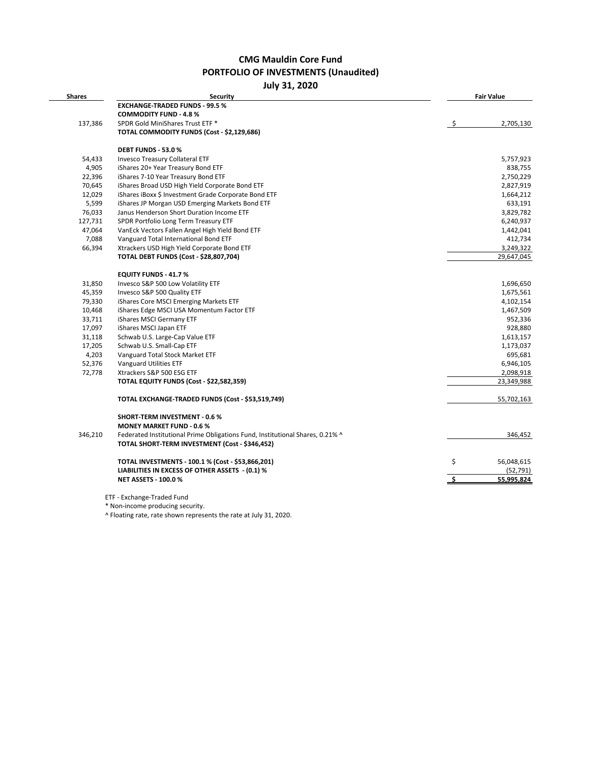# **CMG Mauldin Core Fund PORTFOLIO OF INVESTMENTS (Unaudited)**

**July 31, 2020**

| <b>Shares</b> | <b>Security</b>                                                                                                                 | <b>Fair Value</b> |
|---------------|---------------------------------------------------------------------------------------------------------------------------------|-------------------|
|               | <b>EXCHANGE-TRADED FUNDS - 99.5 %</b>                                                                                           |                   |
|               | <b>COMMODITY FUND - 4.8 %</b>                                                                                                   |                   |
| 137,386       | SPDR Gold MiniShares Trust ETF *                                                                                                | 2,705,130<br>-S   |
|               | TOTAL COMMODITY FUNDS (Cost - \$2,129,686)                                                                                      |                   |
|               | <b>DEBT FUNDS - 53.0 %</b>                                                                                                      |                   |
| 54,433        | <b>Invesco Treasury Collateral ETF</b>                                                                                          | 5,757,923         |
| 4,905         | iShares 20+ Year Treasury Bond ETF                                                                                              | 838,755           |
| 22,396        | iShares 7-10 Year Treasury Bond ETF                                                                                             | 2,750,229         |
| 70,645        | iShares Broad USD High Yield Corporate Bond ETF                                                                                 | 2,827,919         |
| 12,029        | iShares iBoxx \$ Investment Grade Corporate Bond ETF                                                                            | 1,664,212         |
| 5,599         | iShares JP Morgan USD Emerging Markets Bond ETF                                                                                 | 633,191           |
| 76,033        | Janus Henderson Short Duration Income ETF                                                                                       | 3,829,782         |
| 127,731       | SPDR Portfolio Long Term Treasury ETF                                                                                           | 6,240,937         |
| 47,064        | VanEck Vectors Fallen Angel High Yield Bond ETF                                                                                 | 1,442,041         |
| 7,088         | Vanguard Total International Bond ETF                                                                                           | 412,734           |
| 66,394        | Xtrackers USD High Yield Corporate Bond ETF                                                                                     | 3,249,322         |
|               | <b>TOTAL DEBT FUNDS (Cost - \$28,807,704)</b>                                                                                   | 29,647,045        |
|               | <b>EQUITY FUNDS - 41.7 %</b>                                                                                                    |                   |
| 31,850        | Invesco S&P 500 Low Volatility ETF                                                                                              | 1,696,650         |
| 45,359        | Invesco S&P 500 Quality ETF                                                                                                     | 1,675,561         |
| 79,330        | iShares Core MSCI Emerging Markets ETF                                                                                          | 4,102,154         |
| 10,468        | iShares Edge MSCI USA Momentum Factor ETF                                                                                       | 1,467,509         |
| 33,711        | iShares MSCI Germany ETF                                                                                                        | 952,336           |
| 17,097        | iShares MSCI Japan ETF                                                                                                          | 928,880           |
| 31,118        | Schwab U.S. Large-Cap Value ETF                                                                                                 | 1,613,157         |
| 17,205        | Schwab U.S. Small-Cap ETF                                                                                                       | 1,173,037         |
| 4,203         | Vanguard Total Stock Market ETF                                                                                                 | 695,681           |
| 52,376        | Vanguard Utilities ETF                                                                                                          | 6,946,105         |
| 72,778        | Xtrackers S&P 500 ESG ETF                                                                                                       | 2,098,918         |
|               | <b>TOTAL EQUITY FUNDS (Cost - \$22,582,359)</b>                                                                                 | 23,349,988        |
|               | TOTAL EXCHANGE-TRADED FUNDS (Cost - \$53,519,749)                                                                               | 55,702,163        |
|               | <b>SHORT-TERM INVESTMENT - 0.6 %</b>                                                                                            |                   |
|               | <b>MONEY MARKET FUND - 0.6 %</b>                                                                                                |                   |
| 346,210       | Federated Institutional Prime Obligations Fund, Institutional Shares, 0.21% ^<br>TOTAL SHORT-TERM INVESTMENT (Cost - \$346,452) | 346,452           |
|               | TOTAL INVESTMENTS - 100.1 % (Cost - \$53,866,201)                                                                               | \$<br>56,048,615  |
|               | LIABILITIES IN EXCESS OF OTHER ASSETS - (0.1) %                                                                                 | (52, 791)         |
|               | <b>NET ASSETS - 100.0 %</b>                                                                                                     | \$.<br>55,995,824 |

\* Non-income producing security.

^ Floating rate, rate shown represents the rate at July 31, 2020.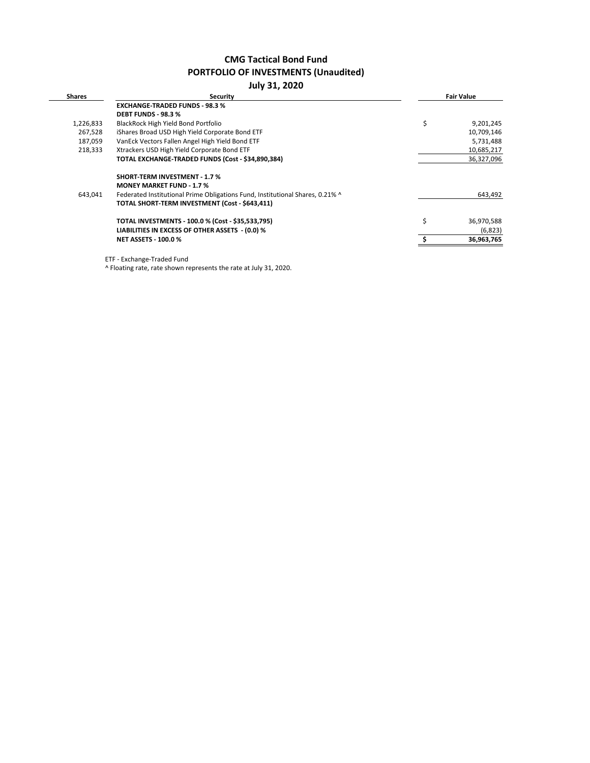# **CMG Tactical Bond Fund PORTFOLIO OF INVESTMENTS (Unaudited)**

## **July 31, 2020**

| <b>Shares</b> | <b>Security</b>                                                               | <b>Fair Value</b> |
|---------------|-------------------------------------------------------------------------------|-------------------|
|               | <b>EXCHANGE-TRADED FUNDS - 98.3 %</b>                                         |                   |
|               | <b>DEBT FUNDS - 98.3 %</b>                                                    |                   |
| 1,226,833     | BlackRock High Yield Bond Portfolio                                           | \$<br>9,201,245   |
| 267,528       | iShares Broad USD High Yield Corporate Bond ETF                               | 10,709,146        |
| 187,059       | VanEck Vectors Fallen Angel High Yield Bond ETF                               | 5,731,488         |
| 218,333       | Xtrackers USD High Yield Corporate Bond ETF                                   | 10,685,217        |
|               | TOTAL EXCHANGE-TRADED FUNDS (Cost - \$34,890,384)                             | 36,327,096        |
|               | <b>SHORT-TERM INVESTMENT - 1.7 %</b>                                          |                   |
|               | <b>MONEY MARKET FUND - 1.7 %</b>                                              |                   |
| 643.041       | Federated Institutional Prime Obligations Fund, Institutional Shares, 0.21% ^ | 643,492           |
|               | TOTAL SHORT-TERM INVESTMENT (Cost - \$643,411)                                |                   |
|               | TOTAL INVESTMENTS - 100.0 % (Cost - \$35,533,795)                             | \$<br>36,970,588  |
|               | LIABILITIES IN EXCESS OF OTHER ASSETS - (0.0) %                               | (6,823)           |
|               | <b>NET ASSETS - 100.0 %</b>                                                   | 36,963,765        |

ETF - Exchange-Traded Fund

^ Floating rate, rate shown represents the rate at July 31, 2020.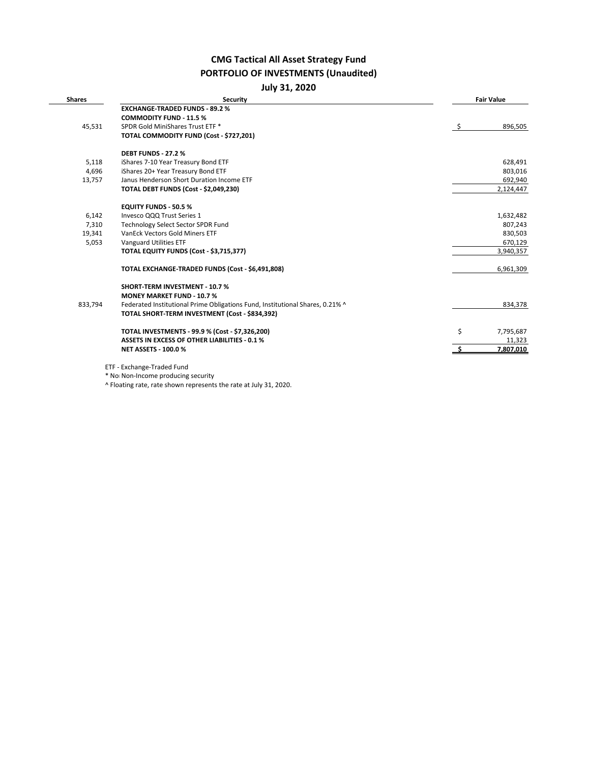# **CMG Tactical All Asset Strategy Fund PORTFOLIO OF INVESTMENTS (Unaudited)**

| <b>July 31, 2020</b> |  |
|----------------------|--|
|----------------------|--|

| <b>Shares</b> | <b>Security</b>                                                               |      | <b>Fair Value</b> |
|---------------|-------------------------------------------------------------------------------|------|-------------------|
|               | <b>EXCHANGE-TRADED FUNDS - 89.2 %</b>                                         |      |                   |
|               | <b>COMMODITY FUND - 11.5 %</b>                                                |      |                   |
| 45,531        | SPDR Gold MiniShares Trust ETF *                                              | - \$ | 896,505           |
|               | TOTAL COMMODITY FUND (Cost - \$727,201)                                       |      |                   |
|               | <b>DEBT FUNDS - 27.2 %</b>                                                    |      |                   |
| 5,118         | iShares 7-10 Year Treasury Bond ETF                                           |      | 628,491           |
| 4,696         | iShares 20+ Year Treasury Bond ETF                                            |      | 803,016           |
| 13,757        | Janus Henderson Short Duration Income ETF                                     |      | 692,940           |
|               | TOTAL DEBT FUNDS (Cost - \$2,049,230)                                         |      | 2,124,447         |
|               | <b>EQUITY FUNDS - 50.5 %</b>                                                  |      |                   |
| 6,142         | Invesco QQQ Trust Series 1                                                    |      | 1,632,482         |
| 7,310         | Technology Select Sector SPDR Fund                                            |      | 807,243           |
| 19,341        | VanEck Vectors Gold Miners ETF                                                |      | 830,503           |
| 5,053         | Vanguard Utilities ETF                                                        |      | 670,129           |
|               | TOTAL EQUITY FUNDS (Cost - \$3,715,377)                                       |      | 3,940,357         |
|               | TOTAL EXCHANGE-TRADED FUNDS (Cost - \$6,491,808)                              |      | 6,961,309         |
|               | <b>SHORT-TERM INVESTMENT - 10.7%</b>                                          |      |                   |
|               | <b>MONEY MARKET FUND - 10.7 %</b>                                             |      |                   |
| 833,794       | Federated Institutional Prime Obligations Fund, Institutional Shares, 0.21% ^ |      | 834,378           |
|               | TOTAL SHORT-TERM INVESTMENT (Cost - \$834,392)                                |      |                   |
|               | TOTAL INVESTMENTS - 99.9 % (Cost - \$7,326,200)                               | \$   | 7,795,687         |
|               | <b>ASSETS IN EXCESS OF OTHER LIABILITIES - 0.1 %</b>                          |      | 11,323            |
|               | <b>NET ASSETS - 100.0 %</b>                                                   |      | 7,807,010         |

\* Non Non-Income producing security

^ Floating rate, rate shown represents the rate at July 31, 2020.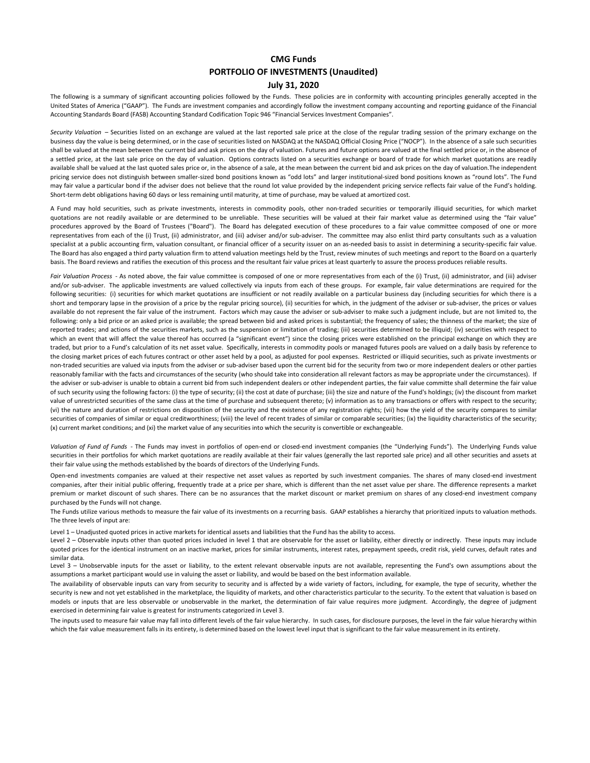### **CMG Funds PORTFOLIO OF INVESTMENTS (Unaudited)**

### **July 31, 2020**

The following is a summary of significant accounting policies followed by the Funds. These policies are in conformity with accounting principles generally accepted in the United States of America ("GAAP"). The Funds are investment companies and accordingly follow the investment company accounting and reporting guidance of the Financial Accounting Standards Board (FASB) Accounting Standard Codification Topic 946 "Financial Services Investment Companies".

*Security Valuation* – Securities listed on an exchange are valued at the last reported sale price at the close of the regular trading session of the primary exchange on the business day the value is being determined, or in the case of securities listed on NASDAQ at the NASDAQ Official Closing Price ("NOCP"). In the absence of a sale such securities shall be valued at the mean between the current bid and ask prices on the day of valuation. Futures and future options are valued at the final settled price or, in the absence of a settled price, at the last sale price on the day of valuation. Options contracts listed on a securities exchange or board of trade for which market quotations are readily available shall be valued at the last quoted sales price or, in the absence of a sale, at the mean between the current bid and ask prices on the day of valuation. The independent pricing service does not distinguish between smaller-sized bond positions known as "odd lots" and larger institutional-sized bond positions known as "round lots". The Fund may fair value a particular bond if the adviser does not believe that the round lot value provided by the independent pricing service reflects fair value of the Fund's holding. Short-term debt obligations having 60 days or less remaining until maturity, at time of purchase, may be valued at amortized cost.

A Fund may hold securities, such as private investments, interests in commodity pools, other non-traded securities or temporarily illiquid securities, for which market quotations are not readily available or are determined to be unreliable. These securities will be valued at their fair market value as determined using the "fair value" procedures approved by the Board of Trustees ("Board"). The Board has delegated execution of these procedures to a fair value committee composed of one or more representatives from each of the (i) Trust, (ii) administrator, and (iii) adviser and/or sub-adviser. The committee may also enlist third party consultants such as a valuation specialist at a public accounting firm, valuation consultant, or financial officer of a security issuer on an as-needed basis to assist in determining a security-specific fair value. The Board has also engaged a third party valuation firm to attend valuation meetings held by the Trust, review minutes of such meetings and report to the Board on a quarterly basis. The Board reviews and ratifies the execution of this process and the resultant fair value prices at least quarterly to assure the process produces reliable results.

*Fair Valuation Process* - As noted above, the fair value committee is composed of one or more representatives from each of the (i) Trust, (ii) administrator, and (iii) adviser and/or sub-adviser. The applicable investments are valued collectively via inputs from each of these groups. For example, fair value determinations are required for the following securities: (i) securities for which market quotations are insufficient or not readily available on a particular business day (including securities for which there is a short and temporary lapse in the provision of a price by the regular pricing source), (ii) securities for which, in the judgment of the adviser or sub-adviser, the prices or values available do not represent the fair value of the instrument. Factors which may cause the adviser or sub-adviser to make such a judgment include, but are not limited to, the following: only a bid price or an asked price is available; the spread between bid and asked prices is substantial; the frequency of sales; the thinness of the market; the size of reported trades; and actions of the securities markets, such as the suspension or limitation of trading; (iii) securities determined to be illiquid; (iv) securities with respect to which an event that will affect the value thereof has occurred (a "significant event") since the closing prices were established on the principal exchange on which they are traded, but prior to a Fund's calculation of its net asset value. Specifically, interests in commodity pools or managed futures pools are valued on a daily basis by reference to the closing market prices of each futures contract or other asset held by a pool, as adjusted for pool expenses. Restricted or illiquid securities, such as private investments or non-traded securities are valued via inputs from the adviser or sub-adviser based upon the current bid for the security from two or more independent dealers or other parties reasonably familiar with the facts and circumstances of the security (who should take into consideration all relevant factors as may be appropriate under the circumstances). If the adviser or sub-adviser is unable to obtain a current bid from such independent dealers or other independent parties, the fair value committe shall determine the fair value of such security using the following factors: (i) the type of security; (ii) the cost at date of purchase; (iii) the size and nature of the Fund's holdings; (iv) the discount from market value of unrestricted securities of the same class at the time of purchase and subsequent thereto; (v) information as to any transactions or offers with respect to the security; (vi) the nature and duration of restrictions on disposition of the security and the existence of any registration rights; (vii) how the yield of the security compares to similar securities of companies of similar or equal creditworthiness; (viii) the level of recent trades of similar or comparable securities; (ix) the liquidity characteristics of the security; (x) current market conditions; and (xi) the market value of any securities into which the security is convertible or exchangeable.

*Valuation of Fund of Funds* - The Funds may invest in portfolios of open-end or closed-end investment companies (the "Underlying Funds"). The Underlying Funds value securities in their portfolios for which market quotations are readily available at their fair values (generally the last reported sale price) and all other securities and assets at their fair value using the methods established by the boards of directors of the Underlying Funds.

Open-end investments companies are valued at their respective net asset values as reported by such investment companies. The shares of many closed-end investment companies, after their initial public offering, frequently trade at a price per share, which is different than the net asset value per share. The difference represents a market premium or market discount of such shares. There can be no assurances that the market discount or market premium on shares of any closed-end investment company purchased by the Funds will not change.

The Funds utilize various methods to measure the fair value of its investments on a recurring basis. GAAP establishes a hierarchy that prioritized inputs to valuation methods. The three levels of input are:

Level 1 – Unadjusted quoted prices in active markets for identical assets and liabilities that the Fund has the ability to access.

Level 2 - Observable inputs other than quoted prices included in level 1 that are observable for the asset or liability, either directly or indirectly. These inputs may include quoted prices for the identical instrument on an inactive market, prices for similar instruments, interest rates, prepayment speeds, credit risk, yield curves, default rates and similar data.

Level 3 - Unobservable inputs for the asset or liability, to the extent relevant observable inputs are not available, representing the Fund's own assumptions about the assumptions a market participant would use in valuing the asset or liability, and would be based on the best information available.

The availability of observable inputs can vary from security to security and is affected by a wide variety of factors, including, for example, the type of security, whether the security is new and not yet established in the marketplace, the liquidity of markets, and other characteristics particular to the security. To the extent that valuation is based on models or inputs that are less observable or unobservable in the market, the determination of fair value requires more judgment. Accordingly, the degree of judgment exercised in determining fair value is greatest for instruments categorized in Level 3.

The inputs used to measure fair value may fall into different levels of the fair value hierarchy. In such cases, for disclosure purposes, the level in the fair value hierarchy within which the fair value measurement falls in its entirety, is determined based on the lowest level input that is significant to the fair value measurement in its entirety.